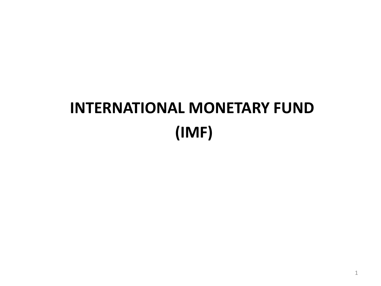# **INTERNATIONAL MONETARY FUND (IMF)**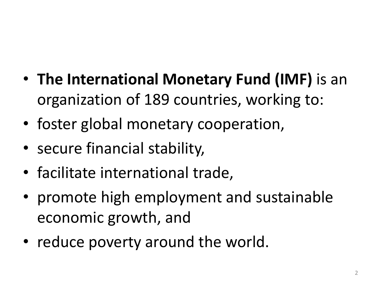- **The International Monetary Fund (IMF)** is an organization of 189 countries, working to:
- foster global monetary cooperation,
- secure financial stability,
- facilitate international trade,
- promote high employment and sustainable economic growth, and
- reduce poverty around the world.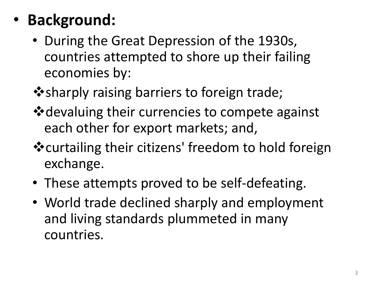# • **Background:**

- During the Great Depression of the 1930s, countries attempted to shore up their failing economies by:
- $\dots$  sharply raising barriers to foreign trade;
- **\*** devaluing their currencies to compete against each other for export markets; and,
- ❖ curtailing their citizens' freedom to hold foreign exchange.
- These attempts proved to be self-defeating.
- World trade declined sharply and employment and living standards plummeted in many countries.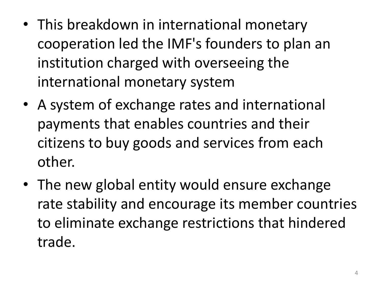- This breakdown in international monetary cooperation led the IMF's founders to plan an institution charged with overseeing the international monetary system
- A system of exchange rates and international payments that enables countries and their citizens to buy goods and services from each other.
- The new global entity would ensure exchange rate stability and encourage its member countries to eliminate exchange restrictions that hindered trade.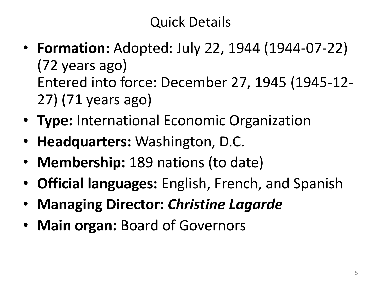## Quick Details

- **Formation:** Adopted: July 22, 1944 (1944-07-22) (72 years ago) Entered into force: December 27, 1945 (1945-12- 27) (71 years ago)
- **Type:** International Economic Organization
- **Headquarters:** Washington, D.C.
- **Membership:** 189 nations (to date)
- **Official languages:** English, French, and Spanish
- **Managing Director:** *Christine Lagarde*
- **Main organ:** Board of Governors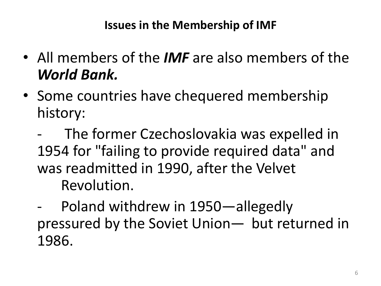#### **Issues in the Membership of IMF**

- All members of the *IMF* are also members of the *World Bank.*
- Some countries have chequered membership history:
	- The former Czechoslovakia was expelled in 1954 for "failing to provide required data" and was readmitted in 1990, after the Velvet Revolution.
	- Poland withdrew in 1950—allegedly pressured by the Soviet Union— but returned in 1986.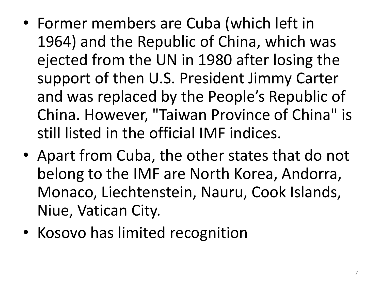- Former members are Cuba (which left in 1964) and the Republic of China, which was ejected from the UN in 1980 after losing the support of then U.S. President Jimmy Carter and was replaced by the People's Republic of China. However, "Taiwan Province of China" is still listed in the official IMF indices.
- Apart from Cuba, the other states that do not belong to the IMF are North Korea, Andorra, Monaco, Liechtenstein, Nauru, Cook Islands, Niue, Vatican City.
- Kosovo has limited recognition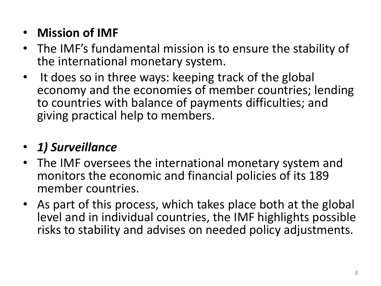#### • **Mission of IMF**

- The IMF's fundamental mission is to ensure the stability of the international monetary system.
- It does so in three ways: keeping track of the global economy and the economies of member countries; lending to countries with balance of payments difficulties; and giving practical help to members.

## • *1) Surveillance*

- The IMF oversees the international monetary system and monitors the economic and financial policies of its 189 member countries.
- As part of this process, which takes place both at the global level and in individual countries, the IMF highlights possible risks to stability and advises on needed policy adjustments.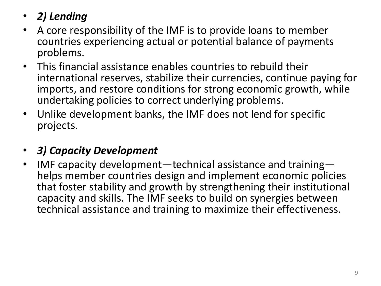#### • *2) Lending*

- A core responsibility of the IMF is to provide loans to member countries experiencing actual or potential balance of payments problems.
- This financial assistance enables countries to rebuild their international reserves, stabilize their currencies, continue paying for imports, and restore conditions for strong economic growth, while undertaking policies to correct underlying problems.
- Unlike development banks, the IMF does not lend for specific projects.

#### • *3) Capacity Development*

• IMF capacity development—technical assistance and training helps member countries design and implement economic policies that foster stability and growth by strengthening their institutional capacity and skills. The IMF seeks to build on synergies between technical assistance and training to maximize their effectiveness.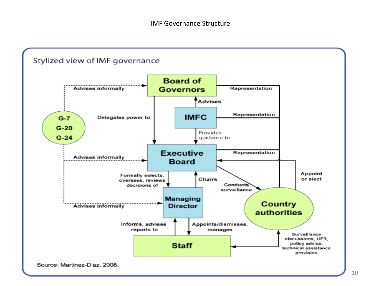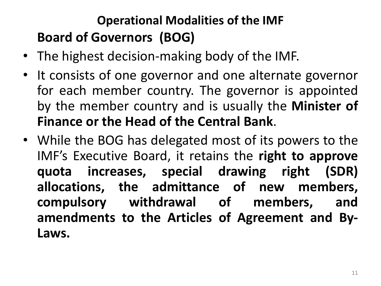## **Operational Modalities of the IMF Board of Governors (BOG)**

- The highest decision-making body of the IMF.
- It consists of one governor and one alternate governor for each member country. The governor is appointed by the member country and is usually the **Minister of Finance or the Head of the Central Bank**.
- While the BOG has delegated most of its powers to the IMF's Executive Board, it retains the **right to approve quota increases, special drawing right (SDR) allocations, the admittance of new members, compulsory withdrawal of members, and amendments to the Articles of Agreement and By-Laws.**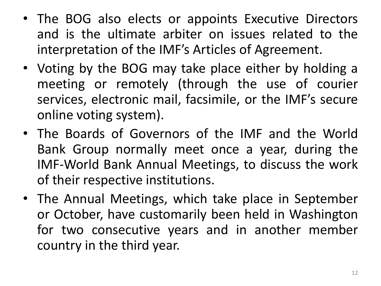- The BOG also elects or appoints Executive Directors and is the ultimate arbiter on issues related to the interpretation of the IMF's Articles of Agreement.
- Voting by the BOG may take place either by holding a meeting or remotely (through the use of courier services, electronic mail, facsimile, or the IMF's secure online voting system).
- The Boards of Governors of the IMF and the World Bank Group normally meet once a year, during the IMF-World Bank Annual Meetings, to discuss the work of their respective institutions.
- The Annual Meetings, which take place in September or October, have customarily been held in Washington for two consecutive years and in another member country in the third year.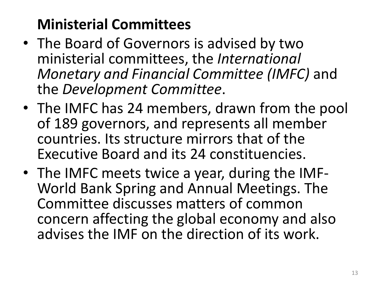## **Ministerial Committees**

- The Board of Governors is advised by two ministerial committees, the *International Monetary and Financial Committee (IMFC)* and the *Development Committee*.
- The IMFC has 24 members, drawn from the pool of 189 governors, and represents all member countries. Its structure mirrors that of the Executive Board and its 24 constituencies.
- The IMFC meets twice a year, during the IMF-World Bank Spring and Annual Meetings. The Committee discusses matters of common concern affecting the global economy and also advises the IMF on the direction of its work.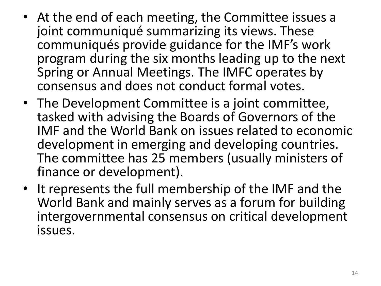- At the end of each meeting, the Committee issues a joint communiqué summarizing its views. These communiqués provide guidance for the IMF's work program during the six months leading up to the next Spring or Annual Meetings. The IMFC operates by consensus and does not conduct formal votes.
- The Development Committee is a joint committee, tasked with advising the Boards of Governors of the IMF and the World Bank on issues related to economic development in emerging and developing countries. The committee has 25 members (usually ministers of finance or development).
- It represents the full membership of the IMF and the World Bank and mainly serves as a forum for building intergovernmental consensus on critical development issues.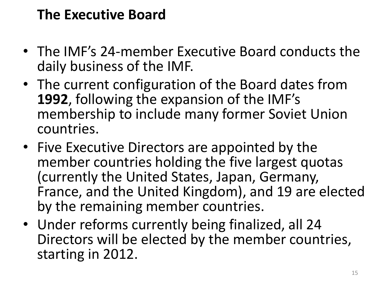## **The Executive Board**

- The IMF's 24-member Executive Board conducts the daily business of the IMF.
- The current configuration of the Board dates from **1992**, following the expansion of the IMF's membership to include many former Soviet Union countries.
- Five Executive Directors are appointed by the member countries holding the five largest quotas (currently the United States, Japan, Germany, France, and the United Kingdom), and 19 are elected by the remaining member countries.
- Under reforms currently being finalized, all 24 Directors will be elected by the member countries, starting in 2012.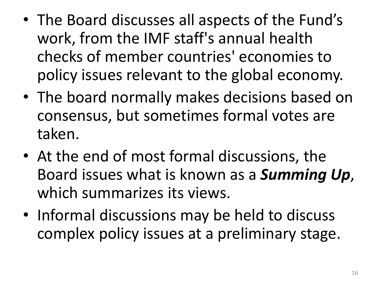- The Board discusses all aspects of the Fund's work, from the IMF staff's annual health checks of member countries' economies to policy issues relevant to the global economy.
- The board normally makes decisions based on consensus, but sometimes formal votes are taken.
- At the end of most formal discussions, the Board issues what is known as a *Summing Up*, which summarizes its views.
- Informal discussions may be held to discuss complex policy issues at a preliminary stage.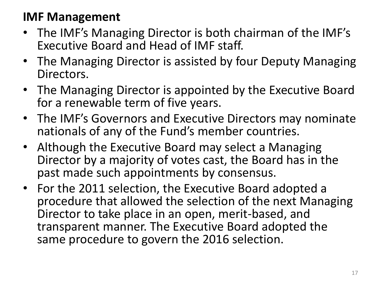#### **IMF Management**

- The IMF's Managing Director is both chairman of the IMF's Executive Board and Head of IMF staff.
- The Managing Director is assisted by four Deputy Managing Directors.
- The Managing Director is appointed by the Executive Board for a renewable term of five years.
- The IMF's Governors and Executive Directors may nominate nationals of any of the Fund's member countries.
- Although the Executive Board may select a Managing Director by a majority of votes cast, the Board has in the past made such appointments by consensus.
- For the 2011 selection, the Executive Board adopted a procedure that allowed the selection of the next Managing Director to take place in an open, merit-based, and transparent manner. The Executive Board adopted the same procedure to govern the 2016 selection.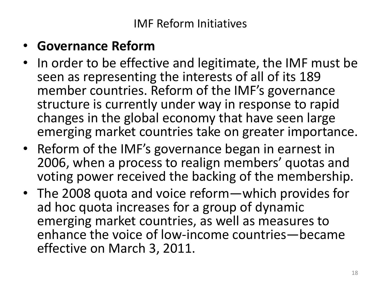#### • **Governance Reform**

- In order to be effective and legitimate, the IMF must be seen as representing the interests of all of its 189 member countries. Reform of the IMF's governance structure is currently under way in response to rapid changes in the global economy that have seen large emerging market countries take on greater importance.
- Reform of the IMF's governance began in earnest in 2006, when a process to realign members' quotas and voting power received the backing of the membership.
- The 2008 quota and voice reform—which provides for ad hoc quota increases for a group of dynamic emerging market countries, as well as measures to enhance the voice of low-income countries—became effective on March 3, 2011.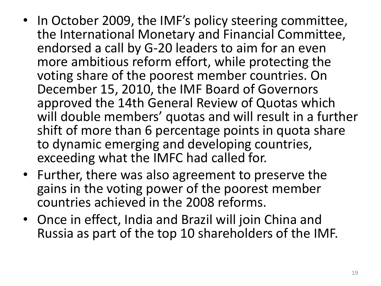- In October 2009, the IMF's policy steering committee, the International Monetary and Financial Committee, endorsed a call by G-20 leaders to aim for an even more ambitious reform effort, while protecting the voting share of the poorest member countries. On December 15, 2010, the IMF Board of Governors approved the 14th General Review of Quotas which will double members' quotas and will result in a further shift of more than 6 percentage points in quota share to dynamic emerging and developing countries, exceeding what the IMFC had called for.
- Further, there was also agreement to preserve the gains in the voting power of the poorest member countries achieved in the 2008 reforms.
- Once in effect, India and Brazil will join China and Russia as part of the top 10 shareholders of the IMF.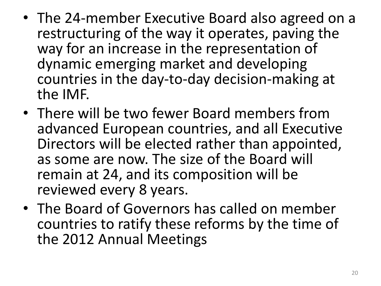- The 24-member Executive Board also agreed on a restructuring of the way it operates, paving the way for an increase in the representation of dynamic emerging market and developing countries in the day-to-day decision-making at the IMF.
- There will be two fewer Board members from advanced European countries, and all Executive Directors will be elected rather than appointed, as some are now. The size of the Board will remain at 24, and its composition will be reviewed every 8 years.
- The Board of Governors has called on member countries to ratify these reforms by the time of the 2012 Annual Meetings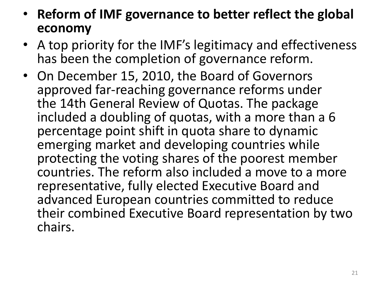- **Reform of IMF governance to better reflect the global economy**
- A top priority for the IMF's legitimacy and effectiveness has been the completion of governance reform.
- On December 15, 2010, the Board of Governors approved far-reaching governance reforms under the 14th General Review of Quotas. The package included a doubling of quotas, with a more than a 6 percentage point shift in quota share to dynamic emerging market and developing countries while protecting the voting shares of the poorest member countries. The reform also included a move to a more representative, fully elected Executive Board and advanced European countries committed to reduce their combined Executive Board representation by two chairs.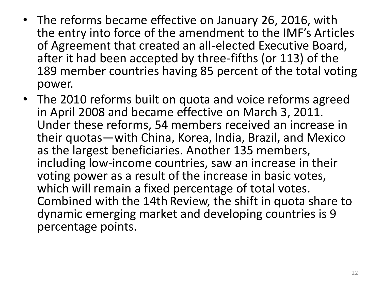- The reforms became effective on January 26, 2016, with the entry into force of the amendment to the IMF's Articles of Agreement that created an all-elected Executive Board, after it had been accepted by three-fifths (or 113) of the 189 member countries having 85 percent of the total voting power.
- The 2010 reforms built on quota and voice reforms agreed in April 2008 and became effective on March 3, 2011. Under these reforms, 54 members received an increase in their quotas—with China, Korea, India, Brazil, and Mexico as the largest beneficiaries. Another 135 members, including low-income countries, saw an increase in their voting power as a result of the increase in basic votes, which will remain a fixed percentage of total votes. Combined with the 14th Review, the shift in quota share to dynamic emerging market and developing countries is 9 percentage points.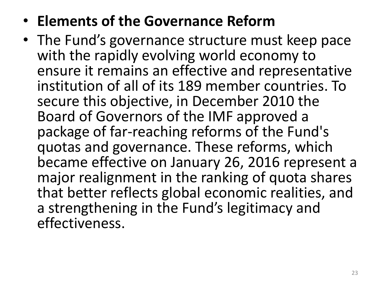## • **Elements of the Governance Reform**

• The Fund's governance structure must keep pace with the rapidly evolving world economy to ensure it remains an effective and representative institution of all of its 189 member countries. To secure this objective, in December 2010 the Board of Governors of the IMF approved a package of far-reaching reforms of the Fund's quotas and governance. These reforms, which became effective on January 26, 2016 represent a major realignment in the ranking of quota shares that better reflects global economic realities, and a strengthening in the Fund's legitimacy and effectiveness.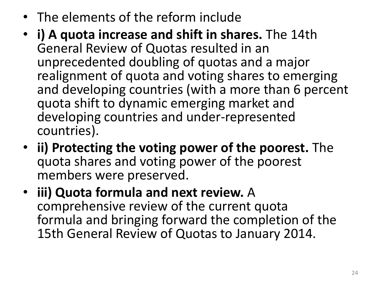- The elements of the reform include
- **i) A quota increase and shift in shares.** The 14th General Review of Quotas resulted in an unprecedented doubling of quotas and a major realignment of quota and voting shares to emerging and developing countries (with a more than 6 percent quota shift to dynamic emerging market and developing countries and under-represented countries).
- **ii) Protecting the voting power of the poorest.** The quota shares and voting power of the poorest members were preserved.
- **iii) Quota formula and next review.** A comprehensive review of the current quota formula and bringing forward the completion of the 15th General Review of Quotas to January 2014.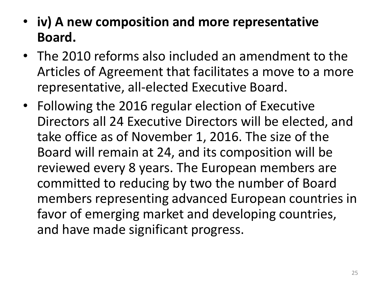- **iv) A new composition and more representative Board.**
- The 2010 reforms also included an amendment to the Articles of Agreement that facilitates a move to a more representative, all-elected Executive Board.
- Following the 2016 regular election of Executive Directors all 24 Executive Directors will be elected, and take office as of November 1, 2016. The size of the Board will remain at 24, and its composition will be reviewed every 8 years. The European members are committed to reducing by two the number of Board members representing advanced European countries in favor of emerging market and developing countries, and have made significant progress.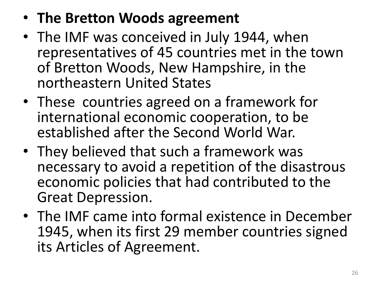## • **The Bretton Woods agreement**

- The IMF was conceived in July 1944, when representatives of 45 countries met in the town of Bretton Woods, New Hampshire, in the northeastern United States
- These countries agreed on a framework for international economic cooperation, to be established after the Second World War.
- They believed that such a framework was necessary to avoid a repetition of the disastrous economic policies that had contributed to the Great Depression.
- The IMF came into formal existence in December 1945, when its first 29 member countries signed its Articles of Agreement.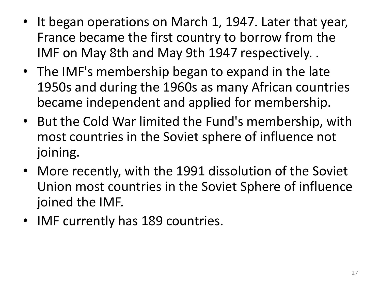- It began operations on March 1, 1947. Later that year, France became the first country to borrow from the IMF on May 8th and May 9th 1947 respectively. .
- The IMF's membership began to expand in the late 1950s and during the 1960s as many African countries became independent and applied for membership.
- But the Cold War limited the Fund's membership, with most countries in the Soviet sphere of influence not joining.
- More recently, with the 1991 dissolution of the Soviet Union most countries in the Soviet Sphere of influence joined the IMF.
- IMF currently has 189 countries.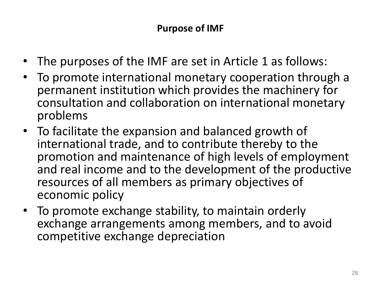- The purposes of the IMF are set in Article 1 as follows:
- To promote international monetary cooperation through a permanent institution which provides the machinery for consultation and collaboration on international monetary problems
- To facilitate the expansion and balanced growth of international trade, and to contribute thereby to the promotion and maintenance of high levels of employment and real income and to the development of the productive resources of all members as primary objectives of economic policy
- To promote exchange stability, to maintain orderly exchange arrangements among members, and to avoid competitive exchange depreciation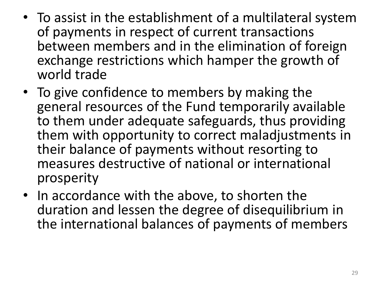- To assist in the establishment of a multilateral system of payments in respect of current transactions between members and in the elimination of foreign exchange restrictions which hamper the growth of world trade
- To give confidence to members by making the general resources of the Fund temporarily available to them under adequate safeguards, thus providing them with opportunity to correct maladjustments in their balance of payments without resorting to measures destructive of national or international prosperity
- In accordance with the above, to shorten the duration and lessen the degree of disequilibrium in the international balances of payments of members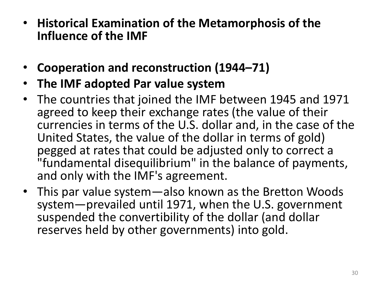- **Historical Examination of the Metamorphosis of the Influence of the IMF**
- **Cooperation and reconstruction (1944–71)**
- **The IMF adopted Par value system**
- The countries that joined the IMF between 1945 and 1971 agreed to keep their exchange rates (the value of their currencies in terms of the U.S. dollar and, in the case of the United States, the value of the dollar in terms of gold) pegged at rates that could be adjusted only to correct a "fundamental disequilibrium" in the balance of payments, and only with the IMF's agreement.
- This par value system—also known as the Bretton Woods system—prevailed until 1971, when the U.S. government suspended the convertibility of the dollar (and dollar reserves held by other governments) into gold.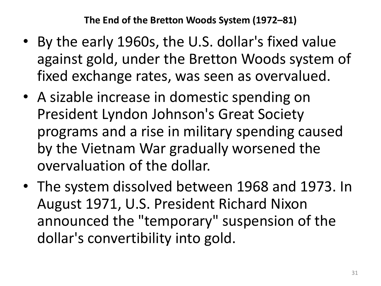**The End of the Bretton Woods System (1972–81)**

- By the early 1960s, the U.S. dollar's fixed value against gold, under the Bretton Woods system of fixed exchange rates, was seen as overvalued.
- A sizable increase in domestic spending on President Lyndon Johnson's Great Society programs and a rise in military spending caused by the Vietnam War gradually worsened the overvaluation of the dollar.
- The system dissolved between 1968 and 1973. In August 1971, U.S. President Richard Nixon announced the "temporary" suspension of the dollar's convertibility into gold.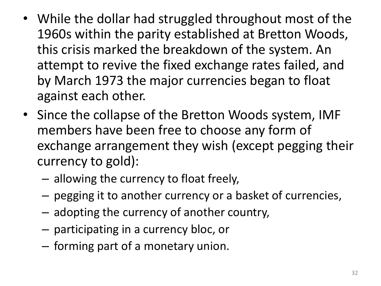- While the dollar had struggled throughout most of the 1960s within the parity established at Bretton Woods, this crisis marked the breakdown of the system. An attempt to revive the fixed exchange rates failed, and by March 1973 the major currencies began to float against each other.
- Since the collapse of the Bretton Woods system, IMF members have been free to choose any form of exchange arrangement they wish (except pegging their currency to gold):
	- allowing the currency to float freely,
	- pegging it to another currency or a basket of currencies,
	- adopting the currency of another country,
	- participating in a currency bloc, or
	- forming part of a monetary union.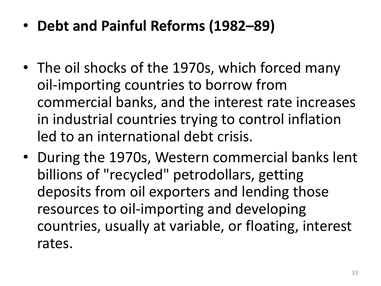- **Debt and Painful Reforms (1982–89)**
- The oil shocks of the 1970s, which forced many oil-importing countries to borrow from commercial banks, and the interest rate increases in industrial countries trying to control inflation led to an international debt crisis.
- During the 1970s, Western commercial banks lent billions of "recycled" petrodollars, getting deposits from oil exporters and lending those resources to oil-importing and developing countries, usually at variable, or floating, interest rates.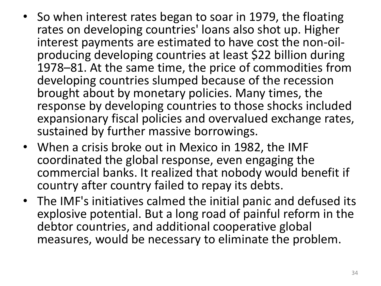- So when interest rates began to soar in 1979, the floating rates on developing countries' loans also shot up. Higher interest payments are estimated to have cost the non-oilproducing developing countries at least \$22 billion during 1978–81. At the same time, the price of commodities from developing countries slumped because of the recession brought about by monetary policies. Many times, the response by developing countries to those shocks included expansionary fiscal policies and overvalued exchange rates, sustained by further massive borrowings.
- When a crisis broke out in Mexico in 1982, the IMF coordinated the global response, even engaging the commercial banks. It realized that nobody would benefit if country after country failed to repay its debts.
- The IMF's initiatives calmed the initial panic and defused its explosive potential. But a long road of painful reform in the debtor countries, and additional cooperative global measures, would be necessary to eliminate the problem.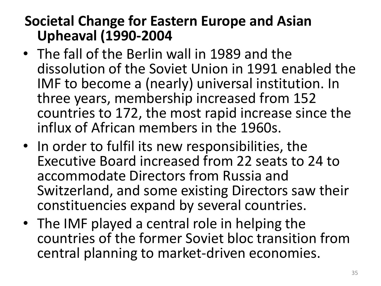### **Societal Change for Eastern Europe and Asian Upheaval (1990-2004**

- The fall of the Berlin wall in 1989 and the dissolution of the Soviet Union in 1991 enabled the IMF to become a (nearly) universal institution. In three years, membership increased from 152 countries to 172, the most rapid increase since the influx of African members in the 1960s.
- In order to fulfil its new responsibilities, the Executive Board increased from 22 seats to 24 to accommodate Directors from Russia and Switzerland, and some existing Directors saw their constituencies expand by several countries.
- The IMF played a central role in helping the countries of the former Soviet bloc transition from central planning to market-driven economies.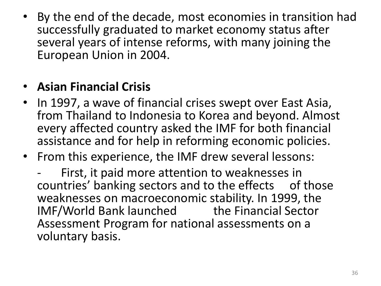• By the end of the decade, most economies in transition had successfully graduated to market economy status after several years of intense reforms, with many joining the European Union in 2004.

#### • **Asian Financial Crisis**

- In 1997, a wave of financial crises swept over East Asia, from Thailand to Indonesia to Korea and beyond. Almost every affected country asked the IMF for both financial assistance and for help in reforming economic policies.
- From this experience, the IMF drew several lessons:

First, it paid more attention to weaknesses in countries' banking sectors and to the effects of those weaknesses on macroeconomic stability. In 1999, the IMF/World Bank launched the Financial Sector Assessment Program for national assessments on a voluntary basis.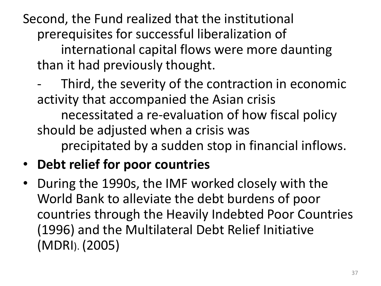Second, the Fund realized that the institutional prerequisites for successful liberalization of international capital flows were more daunting than it had previously thought.

Third, the severity of the contraction in economic activity that accompanied the Asian crisis necessitated a re-evaluation of how fiscal policy should be adjusted when a crisis was precipitated by a sudden stop in financial inflows.

### • **Debt relief for poor countries**

• During the 1990s, the IMF worked closely with the World Bank to alleviate the debt burdens of poor countries through the Heavily Indebted Poor Countries (1996) and the Multilateral Debt Relief Initiative (MDRI). (2005)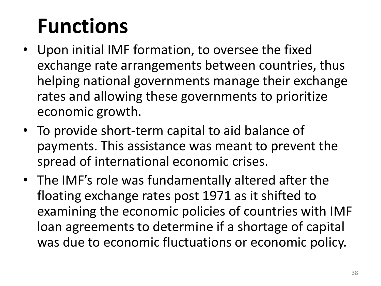# **Functions**

- Upon initial IMF formation, to oversee the fixed exchange rate arrangements between countries, thus helping national governments manage their exchange rates and allowing these governments to prioritize economic growth.
- To provide short-term capital to aid balance of payments. This assistance was meant to prevent the spread of international economic crises.
- The IMF's role was fundamentally altered after the floating exchange rates post 1971 as it shifted to examining the economic policies of countries with IMF loan agreements to determine if a shortage of capital was due to economic fluctuations or economic policy.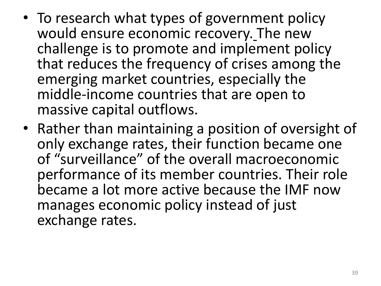- To research what types of government policy would ensure economic recovery. The new challenge is to promote and implement policy that reduces the frequency of crises among the emerging market countries, especially the middle-income countries that are open to massive capital outflows.
- Rather than maintaining a position of oversight of only exchange rates, their function became one of "surveillance" of the overall macroeconomic performance of its member countries. Their role became a lot more active because the IMF now manages economic policy instead of just exchange rates.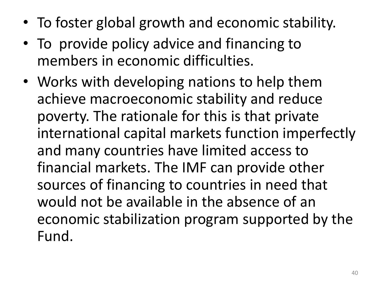- To foster global growth and economic stability.
- To provide policy advice and financing to members in economic difficulties.
- Works with developing nations to help them achieve macroeconomic stability and reduce poverty. The rationale for this is that private international capital markets function imperfectly and many countries have limited access to financial markets. The IMF can provide other sources of financing to countries in need that would not be available in the absence of an economic stabilization program supported by the Fund.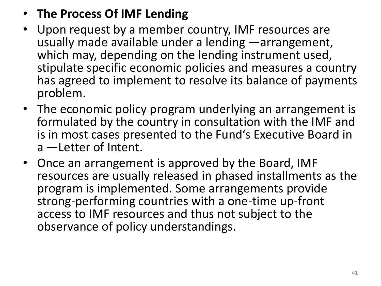#### • **The Process Of IMF Lending**

- Upon request by a member country, IMF resources are usually made available under a lending ―arrangement, which may, depending on the lending instrument used, stipulate specific economic policies and measures a country has agreed to implement to resolve its balance of payments problem.
- The economic policy program underlying an arrangement is formulated by the country in consultation with the IMF and is in most cases presented to the Fund's Executive Board in a ―Letter of Intent.
- Once an arrangement is approved by the Board, IMF resources are usually released in phased installments as the program is implemented. Some arrangements provide strong-performing countries with a one-time up-front access to IMF resources and thus not subject to the observance of policy understandings.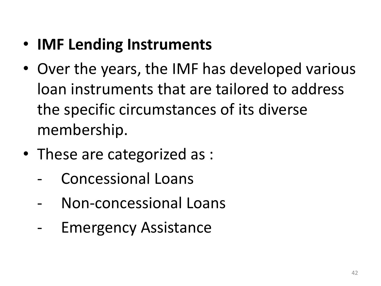# • **IMF Lending Instruments**

- Over the years, the IMF has developed various loan instruments that are tailored to address the specific circumstances of its diverse membership.
- These are categorized as :
	- Concessional Loans
	- Non-concessional Loans
	- Emergency Assistance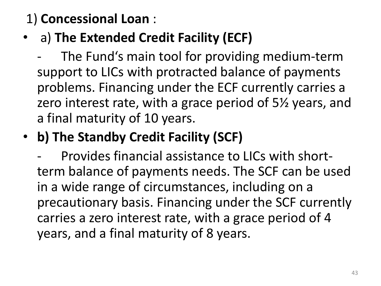### 1) **Concessional Loan** :

- a) **The Extended Credit Facility (ECF)**
	- The Fund's main tool for providing medium-term support to LICs with protracted balance of payments problems. Financing under the ECF currently carries a zero interest rate, with a grace period of 5½ years, and a final maturity of 10 years.
- **b) The Standby Credit Facility (SCF)** 
	- Provides financial assistance to LICs with shortterm balance of payments needs. The SCF can be used in a wide range of circumstances, including on a precautionary basis. Financing under the SCF currently carries a zero interest rate, with a grace period of 4 years, and a final maturity of 8 years.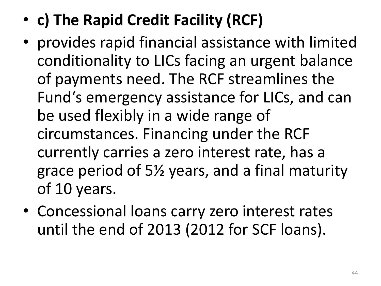- **c) The Rapid Credit Facility (RCF)**
- provides rapid financial assistance with limited conditionality to LICs facing an urgent balance of payments need. The RCF streamlines the Fund's emergency assistance for LICs, and can be used flexibly in a wide range of circumstances. Financing under the RCF currently carries a zero interest rate, has a grace period of 5½ years, and a final maturity of 10 years.
- Concessional loans carry zero interest rates until the end of 2013 (2012 for SCF loans).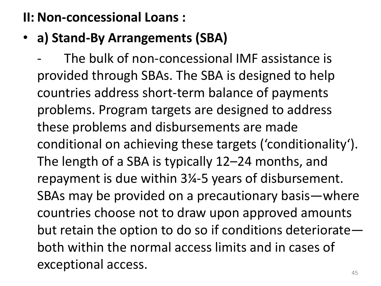#### **II: Non-concessional Loans :**

• **a) Stand-By Arrangements (SBA)**

The bulk of non-concessional IMF assistance is provided through SBAs. The SBA is designed to help countries address short-term balance of payments problems. Program targets are designed to address these problems and disbursements are made conditional on achieving these targets ('conditionality'). The length of a SBA is typically 12–24 months, and repayment is due within 3¼-5 years of disbursement. SBAs may be provided on a precautionary basis—where countries choose not to draw upon approved amounts but retain the option to do so if conditions deteriorate both within the normal access limits and in cases of exceptional access.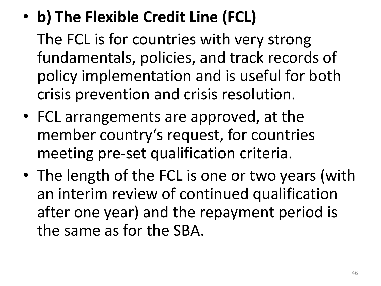• **b) The Flexible Credit Line (FCL)**

The FCL is for countries with very strong fundamentals, policies, and track records of policy implementation and is useful for both crisis prevention and crisis resolution.

- FCL arrangements are approved, at the member country's request, for countries meeting pre-set qualification criteria.
- The length of the FCL is one or two years (with an interim review of continued qualification after one year) and the repayment period is the same as for the SBA.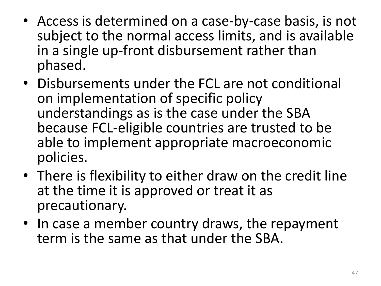- Access is determined on a case-by-case basis, is not subject to the normal access limits, and is available in a single up-front disbursement rather than phased.
- Disbursements under the FCL are not conditional on implementation of specific policy understandings as is the case under the SBA because FCL-eligible countries are trusted to be able to implement appropriate macroeconomic policies.
- There is flexibility to either draw on the credit line at the time it is approved or treat it as precautionary.
- In case a member country draws, the repayment term is the same as that under the SBA.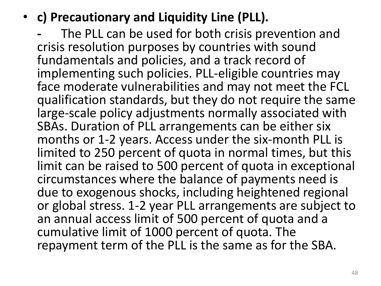• **c) Precautionary and Liquidity Line (PLL).** 

**-** The PLL can be used for both crisis prevention and crisis resolution purposes by countries with sound fundamentals and policies, and a track record of implementing such policies. PLL-eligible countries may face moderate vulnerabilities and may not meet the FCL qualification standards, but they do not require the same large-scale policy adjustments normally associated with SBAs. Duration of PLL arrangements can be either six months or 1-2 years. Access under the six-month PLL is limited to 250 percent of quota in normal times, but this limit can be raised to 500 percent of quota in exceptional circumstances where the balance of payments need is due to exogenous shocks, including heightened regional or global stress. 1-2 year PLL arrangements are subject to an annual access limit of 500 percent of quota and a cumulative limit of 1000 percent of quota. The repayment term of the PLL is the same as for the SBA.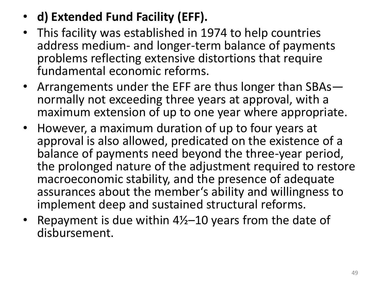- **d) Extended Fund Facility (EFF).**
- This facility was established in 1974 to help countries address medium- and longer-term balance of payments problems reflecting extensive distortions that require fundamental economic reforms.
- Arrangements under the EFF are thus longer than SBAs normally not exceeding three years at approval, with a maximum extension of up to one year where appropriate.
- However, a maximum duration of up to four years at approval is also allowed, predicated on the existence of a balance of payments need beyond the three-year period, the prolonged nature of the adjustment required to restore macroeconomic stability, and the presence of adequate assurances about the member's ability and willingness to implement deep and sustained structural reforms.
- Repayment is due within 4½–10 years from the date of disbursement.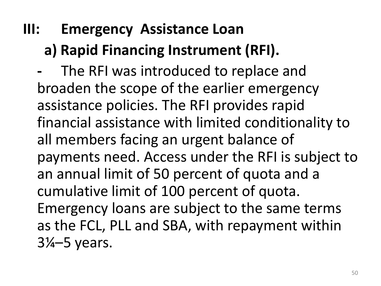# **III: Emergency Assistance Loan a) Rapid Financing Instrument (RFI).**

**-** The RFI was introduced to replace and broaden the scope of the earlier emergency assistance policies. The RFI provides rapid financial assistance with limited conditionality to all members facing an urgent balance of payments need. Access under the RFI is subject to an annual limit of 50 percent of quota and a cumulative limit of 100 percent of quota. Emergency loans are subject to the same terms as the FCL, PLL and SBA, with repayment within 3¼–5 years.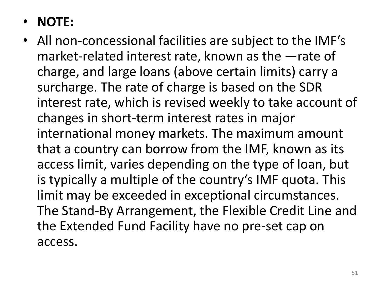### • **NOTE:**

• All non-concessional facilities are subject to the IMF's market-related interest rate, known as the ―rate of charge, and large loans (above certain limits) carry a surcharge. The rate of charge is based on the SDR interest rate, which is revised weekly to take account of changes in short-term interest rates in major international money markets. The maximum amount that a country can borrow from the IMF, known as its access limit, varies depending on the type of loan, but is typically a multiple of the country's IMF quota. This limit may be exceeded in exceptional circumstances. The Stand-By Arrangement, the Flexible Credit Line and the Extended Fund Facility have no pre-set cap on access.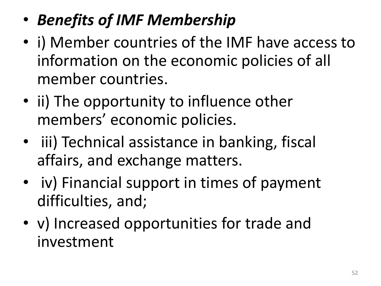# • *Benefits of IMF Membership*

- i) Member countries of the IMF have access to information on the economic policies of all member countries.
- ii) The opportunity to influence other members' economic policies.
- iii) Technical assistance in banking, fiscal affairs, and exchange matters.
- iv) Financial support in times of payment difficulties, and;
- v) Increased opportunities for trade and investment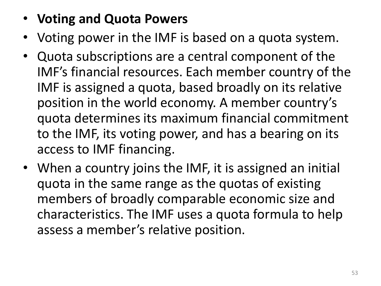### • **Voting and Quota Powers**

- Voting power in the IMF is based on a quota system.
- Quota subscriptions are a central component of the IMF's financial resources. Each member country of the IMF is assigned a quota, based broadly on its relative position in the world economy. A member country's quota determines its maximum financial commitment to the IMF, its voting power, and has a bearing on its access to IMF financing.
- When a country joins the IMF, it is assigned an initial quota in the same range as the quotas of existing members of broadly comparable economic size and characteristics. The IMF uses a quota formula to help assess a member's relative position.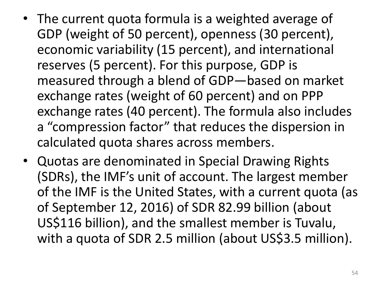- The current quota formula is a weighted average of GDP (weight of 50 percent), openness (30 percent), economic variability (15 percent), and international reserves (5 percent). For this purpose, GDP is measured through a blend of GDP—based on market exchange rates (weight of 60 percent) and on PPP exchange rates (40 percent). The formula also includes a "compression factor" that reduces the dispersion in calculated quota shares across members.
- Quotas are denominated in Special Drawing Rights (SDRs), the IMF's unit of account. The largest member of the IMF is the United States, with a current quota (as of September 12, 2016) of SDR 82.99 billion (about US\$116 billion), and the smallest member is Tuvalu, with a quota of SDR 2.5 million (about US\$3.5 million).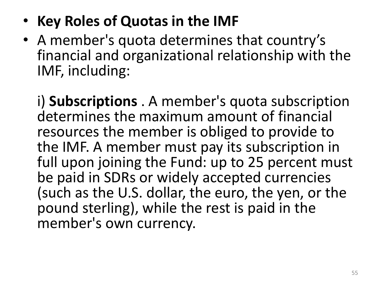- **Key Roles of Quotas in the IMF**
- A member's quota determines that country's financial and organizational relationship with the IMF, including:

i) **Subscriptions** . A member's quota subscription determines the maximum amount of financial resources the member is obliged to provide to the IMF. A member must pay its subscription in full upon joining the Fund: up to 25 percent must be paid in SDRs or widely accepted currencies (such as the U.S. dollar, the euro, the yen, or the pound sterling), while the rest is paid in the member's own currency.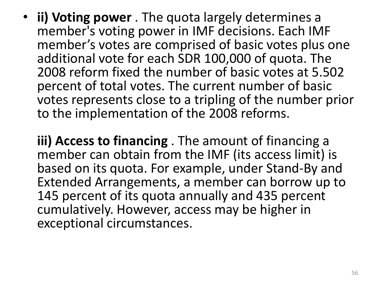- **ii) Voting power** . The quota largely determines a member's voting power in IMF decisions. Each IMF member's votes are comprised of basic votes plus one additional vote for each SDR 100,000 of quota. The 2008 reform fixed the number of basic votes at 5.502 percent of total votes. The current number of basic votes represents close to a tripling of the number prior to the implementation of the 2008 reforms.
	- **iii) Access to financing** . The amount of financing a member can obtain from the IMF (its access limit) is based on its quota. For example, under Stand-By and Extended Arrangements, a member can borrow up to 145 percent of its quota annually and 435 percent cumulatively. However, access may be higher in exceptional circumstances.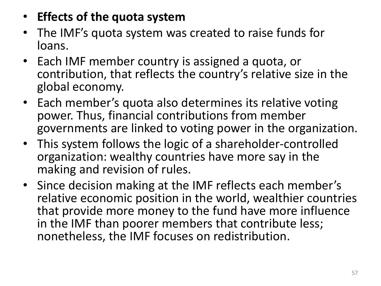#### • **Effects of the quota system**

- The IMF's quota system was created to raise funds for loans.
- Each IMF member country is assigned a quota, or contribution, that reflects the country's relative size in the global economy.
- Each member's quota also determines its relative voting power. Thus, financial contributions from member governments are linked to voting power in the organization.
- This system follows the logic of a shareholder-controlled organization: wealthy countries have more say in the making and revision of rules.
- Since decision making at the IMF reflects each member's relative economic position in the world, wealthier countries that provide more money to the fund have more influence in the IMF than poorer members that contribute less; nonetheless, the IMF focuses on redistribution.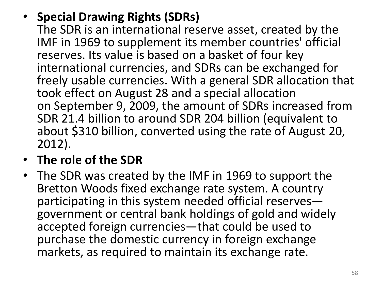- **Special Drawing Rights (SDRs)** The SDR is an international reserve asset, created by the IMF in 1969 to supplement its member countries' official reserves. Its value is based on a basket of four key international currencies, and SDRs can be exchanged for freely usable currencies. With a general SDR allocation that took effect on August 28 and a special allocation on September 9, 2009, the amount of SDRs increased from SDR 21.4 billion to around SDR 204 billion (equivalent to about \$310 billion, converted using the rate of August 20, 2012).
- **The role of the SDR**
- The SDR was created by the IMF in 1969 to support the Bretton Woods fixed exchange rate system. A country participating in this system needed official reserves government or central bank holdings of gold and widely accepted foreign currencies—that could be used to purchase the domestic currency in foreign exchange markets, as required to maintain its exchange rate.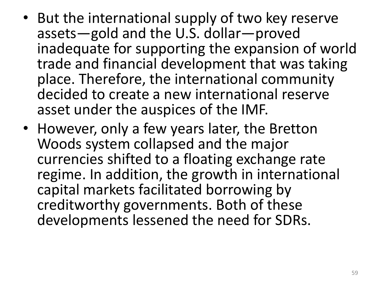- But the international supply of two key reserve assets—gold and the U.S. dollar—proved inadequate for supporting the expansion of world trade and financial development that was taking place. Therefore, the international community decided to create a new international reserve asset under the auspices of the IMF.
- However, only a few years later, the Bretton Woods system collapsed and the major currencies shifted to a floating exchange rate regime. In addition, the growth in international capital markets facilitated borrowing by creditworthy governments. Both of these developments lessened the need for SDRs.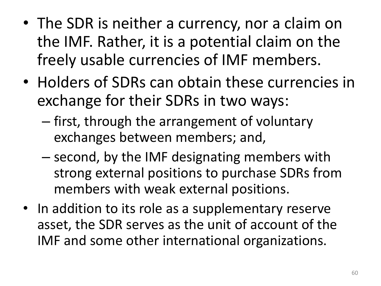- The SDR is neither a currency, nor a claim on the IMF. Rather, it is a potential claim on the freely usable currencies of IMF members.
- Holders of SDRs can obtain these currencies in exchange for their SDRs in two ways:
	- first, through the arrangement of voluntary exchanges between members; and,
	- second, by the IMF designating members with strong external positions to purchase SDRs from members with weak external positions.
- In addition to its role as a supplementary reserve asset, the SDR serves as the unit of account of the IMF and some other international organizations.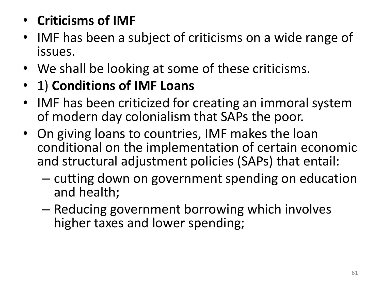## • **Criticisms of IMF**

- IMF has been a subject of criticisms on a wide range of issues.
- We shall be looking at some of these criticisms.
- 1) **Conditions of IMF Loans**
- IMF has been criticized for creating an immoral system of modern day colonialism that SAPs the poor.
- On giving loans to countries, IMF makes the loan conditional on the implementation of certain economic and structural adjustment policies (SAPs) that entail:
	- cutting down on government spending on education and health;
	- Reducing government borrowing which involves higher taxes and lower spending;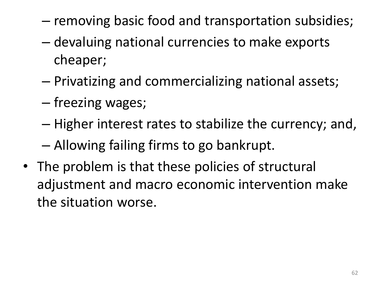- removing basic food and transportation subsidies;
- devaluing national currencies to make exports cheaper;
- Privatizing and commercializing national assets;
- freezing wages;
- Higher interest rates to stabilize the currency; and,
- Allowing failing firms to go bankrupt.
- The problem is that these policies of structural adjustment and macro economic intervention make the situation worse.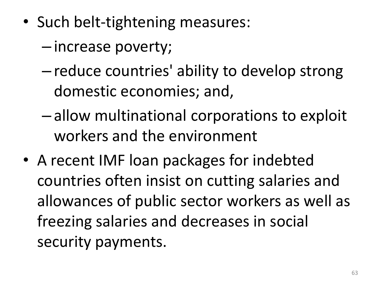- Such belt-tightening measures:
	- increase poverty;
	- reduce countries' ability to develop strong domestic economies; and,
	- allow multinational corporations to exploit workers and the environment
- A recent IMF loan packages for indebted countries often insist on cutting salaries and allowances of public sector workers as well as freezing salaries and decreases in social security payments.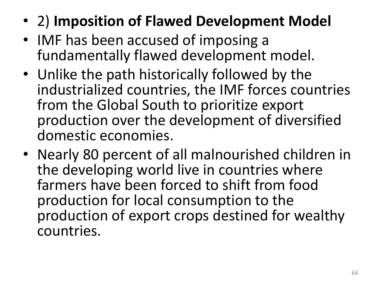- 2) **Imposition of Flawed Development Model**
- IMF has been accused of imposing a fundamentally flawed development model.
- Unlike the path historically followed by the industrialized countries, the IMF forces countries from the Global South to prioritize export production over the development of diversified domestic economies.
- Nearly 80 percent of all malnourished children in the developing world live in countries where farmers have been forced to shift from food production for local consumption to the production of export crops destined for wealthy countries.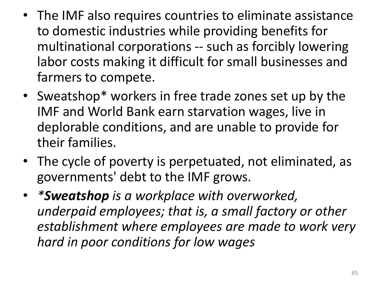- The IMF also requires countries to eliminate assistance to domestic industries while providing benefits for multinational corporations -- such as forcibly lowering labor costs making it difficult for small businesses and farmers to compete.
- Sweatshop\* workers in free trade zones set up by the IMF and World Bank earn starvation wages, live in deplorable conditions, and are unable to provide for their families.
- The cycle of poverty is perpetuated, not eliminated, as governments' debt to the IMF grows.
- *\*Sweatshop is a workplace with overworked, underpaid employees; that is, a small factory or other establishment where employees are made to work very hard in poor conditions for low wages*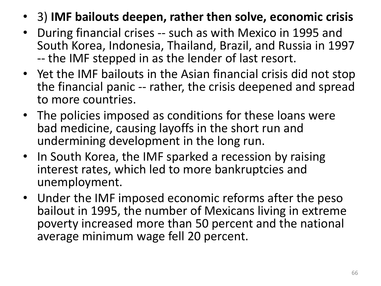- 3) **IMF bailouts deepen, rather then solve, economic crisis**
- During financial crises -- such as with Mexico in 1995 and South Korea, Indonesia, Thailand, Brazil, and Russia in 1997 -- the IMF stepped in as the lender of last resort.
- Yet the IMF bailouts in the Asian financial crisis did not stop the financial panic -- rather, the crisis deepened and spread to more countries.
- The policies imposed as conditions for these loans were bad medicine, causing layoffs in the short run and undermining development in the long run.
- In South Korea, the IMF sparked a recession by raising interest rates, which led to more bankruptcies and unemployment.
- Under the IMF imposed economic reforms after the peso bailout in 1995, the number of Mexicans living in extreme poverty increased more than 50 percent and the national average minimum wage fell 20 percent.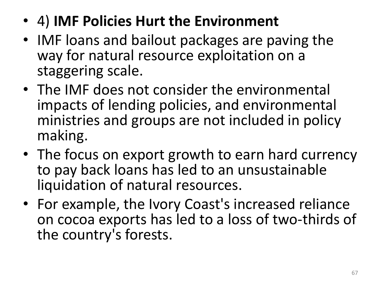- 4) **IMF Policies Hurt the Environment**
- IMF loans and bailout packages are paving the way for natural resource exploitation on a staggering scale.
- The IMF does not consider the environmental impacts of lending policies, and environmental ministries and groups are not included in policy making.
- The focus on export growth to earn hard currency to pay back loans has led to an unsustainable liquidation of natural resources.
- For example, the Ivory Coast's increased reliance on cocoa exports has led to a loss of two-thirds of the country's forests.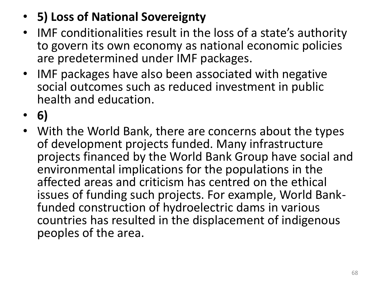- **5) Loss of National Sovereignty**
- IMF conditionalities result in the loss of a state's authority to govern its own economy as national economic policies are predetermined under IMF packages.
- IMF packages have also been associated with negative social outcomes such as reduced investment in public health and education.
- **6)**
- With the World Bank, there are concerns about the types of development projects funded. Many infrastructure projects financed by the World Bank Group have social and environmental implications for the populations in the affected areas and criticism has centred on the ethical issues of funding such projects. For example, World Bankfunded construction of hydroelectric dams in various countries has resulted in the displacement of indigenous peoples of the area.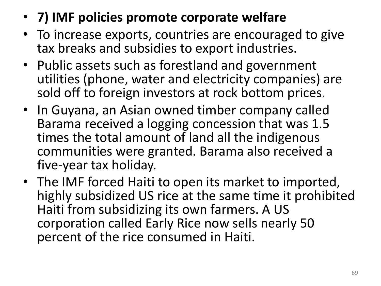- **7) IMF policies promote corporate welfare**
- To increase exports, countries are encouraged to give tax breaks and subsidies to export industries.
- Public assets such as forestland and government utilities (phone, water and electricity companies) are sold off to foreign investors at rock bottom prices.
- In Guyana, an Asian owned timber company called Barama received a logging concession that was 1.5 times the total amount of land all the indigenous communities were granted. Barama also received a five-year tax holiday.
- The IMF forced Haiti to open its market to imported, highly subsidized US rice at the same time it prohibited Haiti from subsidizing its own farmers. A US corporation called Early Rice now sells nearly 50 percent of the rice consumed in Haiti.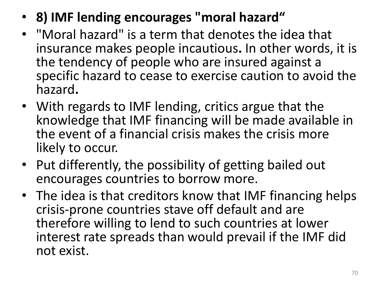- **8) IMF lending encourages "moral hazard"**
- "Moral hazard" is a term that denotes the idea that insurance makes people incautious**.** In other words, it is the tendency of people who are insured against a specific hazard to cease to exercise caution to avoid the hazard**.**
- With regards to IMF lending, critics argue that the knowledge that IMF financing will be made available in the event of a financial crisis makes the crisis more likely to occur.
- Put differently, the possibility of getting bailed out encourages countries to borrow more.
- The idea is that creditors know that IMF financing helps crisis-prone countries stave off default and are therefore willing to lend to such countries at lower interest rate spreads than would prevail if the IMF did not exist.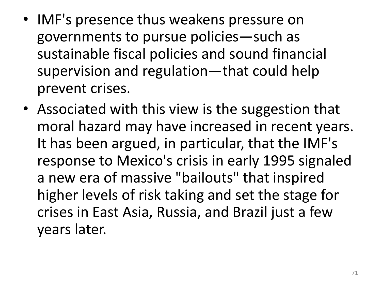- IMF's presence thus weakens pressure on governments to pursue policies—such as sustainable fiscal policies and sound financial supervision and regulation—that could help prevent crises.
- Associated with this view is the suggestion that moral hazard may have increased in recent years. It has been argued, in particular, that the IMF's response to Mexico's crisis in early 1995 signaled a new era of massive "bailouts" that inspired higher levels of risk taking and set the stage for crises in East Asia, Russia, and Brazil just a few years later.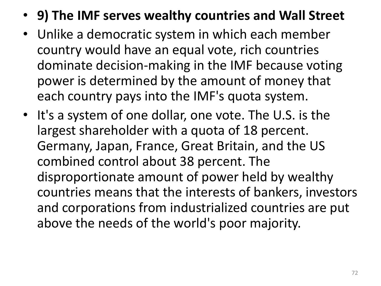- **9) The IMF serves wealthy countries and Wall Street**
- Unlike a democratic system in which each member country would have an equal vote, rich countries dominate decision-making in the IMF because voting power is determined by the amount of money that each country pays into the IMF's quota system.
- It's a system of one dollar, one vote. The U.S. is the largest shareholder with a quota of 18 percent. Germany, Japan, France, Great Britain, and the US combined control about 38 percent. The disproportionate amount of power held by wealthy countries means that the interests of bankers, investors and corporations from industrialized countries are put above the needs of the world's poor majority.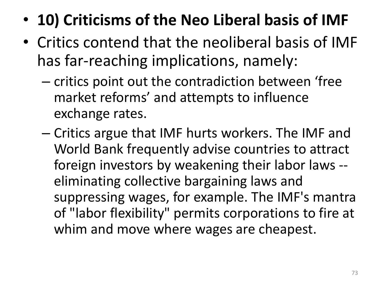- **10) Criticisms of the Neo Liberal basis of IMF**
- Critics contend that the neoliberal basis of IMF has far-reaching implications, namely:
	- critics point out the contradiction between 'free market reforms' and attempts to influence exchange rates.
	- Critics argue that IMF hurts workers. The IMF and World Bank frequently advise countries to attract foreign investors by weakening their labor laws - eliminating collective bargaining laws and suppressing wages, for example. The IMF's mantra of "labor flexibility" permits corporations to fire at whim and move where wages are cheapest.